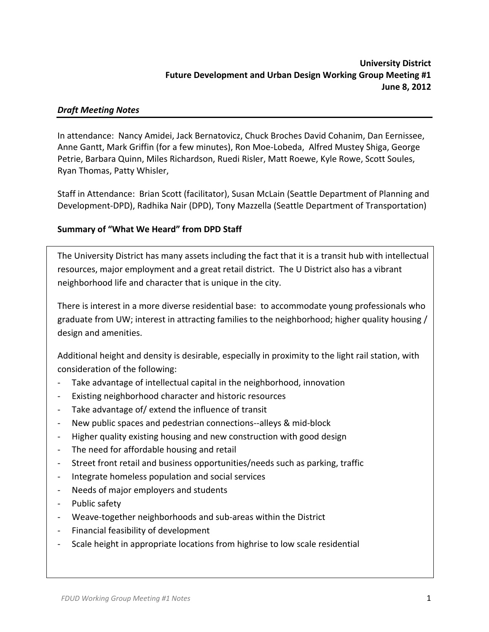### *Draft Meeting Notes*

In attendance: Nancy Amidei, Jack Bernatovicz, Chuck Broches David Cohanim, Dan Eernissee, Anne Gantt, Mark Griffin (for a few minutes), Ron Moe‐Lobeda, Alfred Mustey Shiga, George Petrie, Barbara Quinn, Miles Richardson, Ruedi Risler, Matt Roewe, Kyle Rowe, Scott Soules, Ryan Thomas, Patty Whisler,

Staff in Attendance: Brian Scott (facilitator), Susan McLain (Seattle Department of Planning and Development‐DPD), Radhika Nair (DPD), Tony Mazzella (Seattle Department of Transportation)

## **Summary of "What We Heard" from DPD Staff**

The University District has many assets including the fact that it is a transit hub with intellectual resources, major employment and a great retail district. The U District also has a vibrant neighborhood life and character that is unique in the city.

There is interest in a more diverse residential base: to accommodate young professionals who graduate from UW; interest in attracting families to the neighborhood; higher quality housing / design and amenities.

Additional height and density is desirable, especially in proximity to the light rail station, with consideration of the following:

- Take advantage of intellectual capital in the neighborhood, innovation
- ‐ Existing neighborhood character and historic resources
- Take advantage of/ extend the influence of transit
- ‐ New public spaces and pedestrian connections‐‐alleys & mid‐block
- ‐ Higher quality existing housing and new construction with good design
- The need for affordable housing and retail
- ‐ Street front retail and business opportunities/needs such as parking, traffic
- ‐ Integrate homeless population and social services
- ‐ Needs of major employers and students
- ‐ Public safety
- ‐ Weave‐together neighborhoods and sub‐areas within the District
- ‐ Financial feasibility of development
- Scale height in appropriate locations from highrise to low scale residential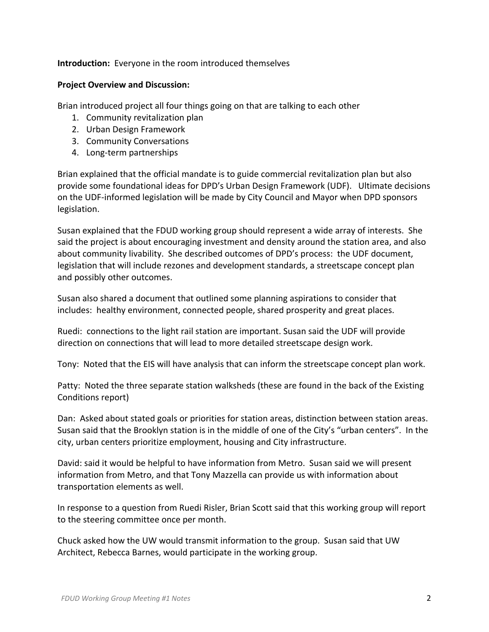#### **Introduction:** Everyone in the room introduced themselves

#### **Project Overview and Discussion:**

Brian introduced project all four things going on that are talking to each other

- 1. Community revitalization plan
- 2. Urban Design Framework
- 3. Community Conversations
- 4. Long‐term partnerships

Brian explained that the official mandate is to guide commercial revitalization plan but also provide some foundational ideas for DPD's Urban Design Framework (UDF). Ultimate decisions on the UDF‐informed legislation will be made by City Council and Mayor when DPD sponsors legislation.

Susan explained that the FDUD working group should represent a wide array of interests. She said the project is about encouraging investment and density around the station area, and also about community livability. She described outcomes of DPD's process: the UDF document, legislation that will include rezones and development standards, a streetscape concept plan and possibly other outcomes.

Susan also shared a document that outlined some planning aspirations to consider that includes: healthy environment, connected people, shared prosperity and great places.

Ruedi: connections to the light rail station are important. Susan said the UDF will provide direction on connections that will lead to more detailed streetscape design work.

Tony: Noted that the EIS will have analysis that can inform the streetscape concept plan work.

Patty: Noted the three separate station walksheds (these are found in the back of the Existing Conditions report)

Dan: Asked about stated goals or priorities for station areas, distinction between station areas. Susan said that the Brooklyn station is in the middle of one of the City's "urban centers". In the city, urban centers prioritize employment, housing and City infrastructure.

David: said it would be helpful to have information from Metro. Susan said we will present information from Metro, and that Tony Mazzella can provide us with information about transportation elements as well.

In response to a question from Ruedi Risler, Brian Scott said that this working group will report to the steering committee once per month.

Chuck asked how the UW would transmit information to the group. Susan said that UW Architect, Rebecca Barnes, would participate in the working group.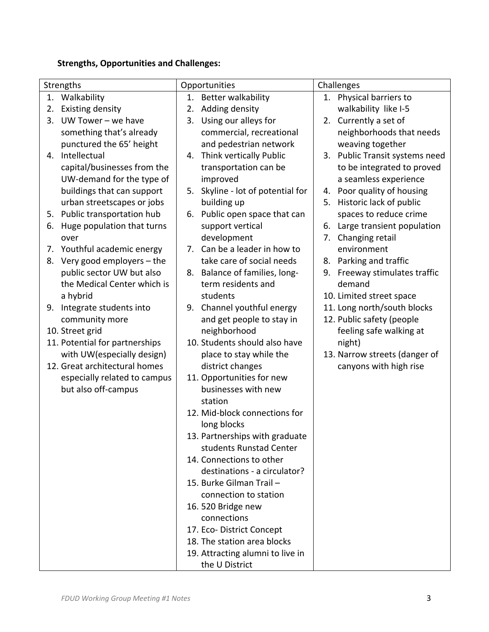# **Strengths, Opportunities and Challenges:**

| <b>Strengths</b> |                                | Opportunities |                                  | Challenges |                                |
|------------------|--------------------------------|---------------|----------------------------------|------------|--------------------------------|
| 1.               | Walkability                    | 1.            | Better walkability               | 1.         | Physical barriers to           |
| 2.               | Existing density               | 2.            | Adding density                   |            | walkability like I-5           |
| 3.               | $UW$ Tower – we have           | 3.            | Using our alleys for             |            | 2. Currently a set of          |
|                  | something that's already       |               | commercial, recreational         |            | neighborhoods that needs       |
|                  | punctured the 65' height       |               | and pedestrian network           |            | weaving together               |
| 4.               | Intellectual                   |               | 4. Think vertically Public       |            | 3. Public Transit systems need |
|                  | capital/businesses from the    |               | transportation can be            |            | to be integrated to proved     |
|                  | UW-demand for the type of      |               | improved                         |            | a seamless experience          |
|                  | buildings that can support     | 5.            | Skyline - lot of potential for   | 4.         | Poor quality of housing        |
|                  | urban streetscapes or jobs     |               | building up                      | 5.         | Historic lack of public        |
| 5.               | Public transportation hub      |               | 6. Public open space that can    |            | spaces to reduce crime         |
| 6.               | Huge population that turns     |               | support vertical                 |            | 6. Large transient population  |
|                  | over                           |               | development                      | 7.         | Changing retail                |
| 7.               | Youthful academic energy       | 7.            | Can be a leader in how to        |            | environment                    |
| 8.               | Very good employers - the      |               | take care of social needs        |            | 8. Parking and traffic         |
|                  | public sector UW but also      |               | 8. Balance of families, long-    |            | 9. Freeway stimulates traffic  |
|                  | the Medical Center which is    |               | term residents and               |            | demand                         |
|                  | a hybrid                       |               | students                         |            | 10. Limited street space       |
| 9.               | Integrate students into        |               | 9. Channel youthful energy       |            | 11. Long north/south blocks    |
|                  | community more                 |               | and get people to stay in        |            | 12. Public safety (people      |
|                  | 10. Street grid                |               | neighborhood                     |            | feeling safe walking at        |
|                  | 11. Potential for partnerships |               | 10. Students should also have    |            | night)                         |
|                  | with UW(especially design)     |               | place to stay while the          |            | 13. Narrow streets (danger of  |
|                  | 12. Great architectural homes  |               | district changes                 |            | canyons with high rise         |
|                  | especially related to campus   |               | 11. Opportunities for new        |            |                                |
|                  | but also off-campus            |               | businesses with new              |            |                                |
|                  |                                |               | station                          |            |                                |
|                  |                                |               | 12. Mid-block connections for    |            |                                |
|                  |                                |               | long blocks                      |            |                                |
|                  |                                |               | 13. Partnerships with graduate   |            |                                |
|                  |                                |               | students Runstad Center          |            |                                |
|                  |                                |               | 14. Connections to other         |            |                                |
|                  |                                |               | destinations - a circulator?     |            |                                |
|                  |                                |               | 15. Burke Gilman Trail-          |            |                                |
|                  |                                |               | connection to station            |            |                                |
|                  |                                |               | 16. 520 Bridge new               |            |                                |
|                  |                                |               | connections                      |            |                                |
|                  |                                |               | 17. Eco- District Concept        |            |                                |
|                  |                                |               | 18. The station area blocks      |            |                                |
|                  |                                |               | 19. Attracting alumni to live in |            |                                |
|                  |                                |               | the U District                   |            |                                |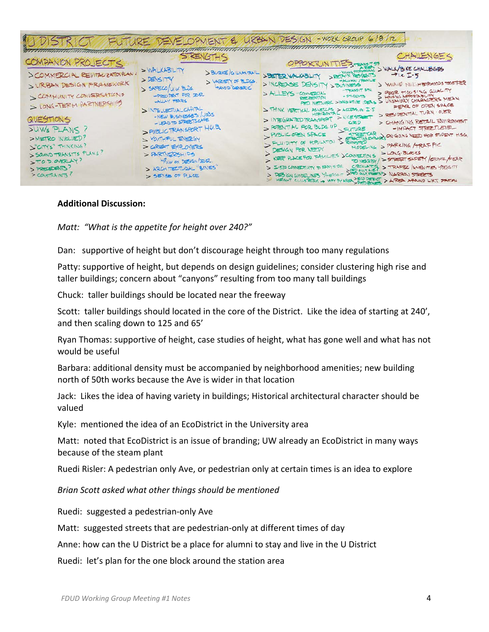|                                                                                                                                                                                                                                                                                                     |                                                                                                                                                                                                                                                                                                                                                                                                                       | FUTURE DEVELOPMENT & URBAN DESIGN - WORK GROUP 618/12                                                                                                                                                                                                                                                                                                                                                                                                                                                                                                                                                                                                                                                                                                                                                                                                                                                                                                                                                                                                                                                                                                         |
|-----------------------------------------------------------------------------------------------------------------------------------------------------------------------------------------------------------------------------------------------------------------------------------------------------|-----------------------------------------------------------------------------------------------------------------------------------------------------------------------------------------------------------------------------------------------------------------------------------------------------------------------------------------------------------------------------------------------------------------------|---------------------------------------------------------------------------------------------------------------------------------------------------------------------------------------------------------------------------------------------------------------------------------------------------------------------------------------------------------------------------------------------------------------------------------------------------------------------------------------------------------------------------------------------------------------------------------------------------------------------------------------------------------------------------------------------------------------------------------------------------------------------------------------------------------------------------------------------------------------------------------------------------------------------------------------------------------------------------------------------------------------------------------------------------------------------------------------------------------------------------------------------------------------|
| COMPANION PROJECTS<br>> COMMERCIAL REVITALIZATION PLAN,<br>> URBAN DESIGN FRAMEWORK<br>SCOMMUNITY CONVERSATIONS<br>> LONG-TERM PARTNERSHIPS<br>QUESTIONS<br>>UWS PLANS?<br>>METRO INVOLVED?<br>SCITY'S" THINKING?<br>> SOUND TRANSITS PLANS?<br>$>TO.D. OVERLY$ ?<br>> PRECEDENTS?<br>> CONSTRAINTS | SIKENGTHS<br>> WALKABILITY<br><b>SURKE/GILMANTRAIL</b><br>>25517<br>> VARIETY OF BLDGS<br><b>SAVOID GENERIC</b><br>SAFECO/UW BUDG.<br>-PRECIDENT FOR DEVEL<br><b>UNLLAY PEARS</b><br>>INTELLECTUAL CAPITAL<br>-NEW BUSINESSES /JOBS<br>-LEAD TO STREETSCAFE<br>>PUBLICTRANSPORT HUR<br>> YOUTHFUL ENERGY<br>> GREAT EXPLOYERS<br>> PARTNERSHIPS<br>WW ON DESIGN/DEFEL.<br>> ARCHITECTURAL "BONES"<br>> SENSE OF PLACE | HALENGES<br>CIUNITIE 3 TRANSIT ST<br>> WALK/BIKE CHALLEXSES<br><b>SREPH'N RESPENTS</b><br>$-7.6$ $L-5$<br>SETER VALKABLITY<br>-ALUMNI/FAMILIE<br>> WAVE NEL HEDRHOODS TOGETHER<br>> INCREASE DENSITY > BUSINESS<br><b>HTE TIENAST-</b><br>POOR HOUSING QUALITY<br>> ALLEYS-COMMERCIAL<br>HOUSING APPORTABILITY<br>- STUDENTS<br><b>RECEPTION</b><br>UNSINORY CHARACTERS MEAN<br>PED. NETWORK > INNOVATIVE IDEAS<br>FEAR OF OPEN SPACE<br>> ACCESS, ne I.S<br>STHINK VERTICAL ASWELLAS<br>> RESIDENTIAL TURN . OVER<br>$>$ $V/E$ STRET<br>> INTEGRATED TRANSPORT<br>> CHANGING RETAIL ENVIRONMENT<br><b>GRID</b><br>> POTENTIAL FOR BLDG. UP<br>-INPACT STREETLEVEL<br>FUTURE<br>> PUBLIC OPEN SPACE<br>STREETER WAS ALGONG NEED FOR STUPENT HISG.<br>> FLUIDITY OF HOPULATION<br>MODELING > PARKING ARAFFIC<br>DESIGN FOR NEEDY<br>$>$ LONG BLOCKS<br>XEEP PLACE FOR FAMILIES SCONNECTIONS<br>> STREET SAFETY /ORIME/FEAR<br><b>TO NEARBY</b><br>> I-520 CONNECTIVITY P EASY SIDE CIRCULATOR<br>> TRAFEC AMENTES YOUS IT<br>> DESIGN GUIDELINES VHEIGHT SHED OUTSTANDS NARROW STREETS<br>- HEGHT CLUSTRY + WAY AVARIA PECO DETRUCT > LIRED ARRUND LET JOURNAL |

#### **Additional Discussion:**

*Matt: "What is the appetite for height over 240?"*

Dan: supportive of height but don't discourage height through too many regulations

Patty: supportive of height, but depends on design guidelines; consider clustering high rise and taller buildings; concern about "canyons" resulting from too many tall buildings

Chuck: taller buildings should be located near the freeway

Scott: taller buildings should located in the core of the District. Like the idea of starting at 240', and then scaling down to 125 and 65'

Ryan Thomas: supportive of height, case studies of height, what has gone well and what has not would be useful

Barbara: additional density must be accompanied by neighborhood amenities; new building north of 50th works because the Ave is wider in that location

Jack: Likes the idea of having variety in buildings; Historical architectural character should be valued

Kyle: mentioned the idea of an EcoDistrict in the University area

Matt: noted that EcoDistrict is an issue of branding; UW already an EcoDistrict in many ways because of the steam plant

Ruedi Risler: A pedestrian only Ave, or pedestrian only at certain times is an idea to explore

*Brian Scott asked what other things should be mentioned*

Ruedi: suggested a pedestrian‐only Ave

Matt: suggested streets that are pedestrian‐only at different times of day

Anne: how can the U District be a place for alumni to stay and live in the U District

Ruedi: let's plan for the one block around the station area